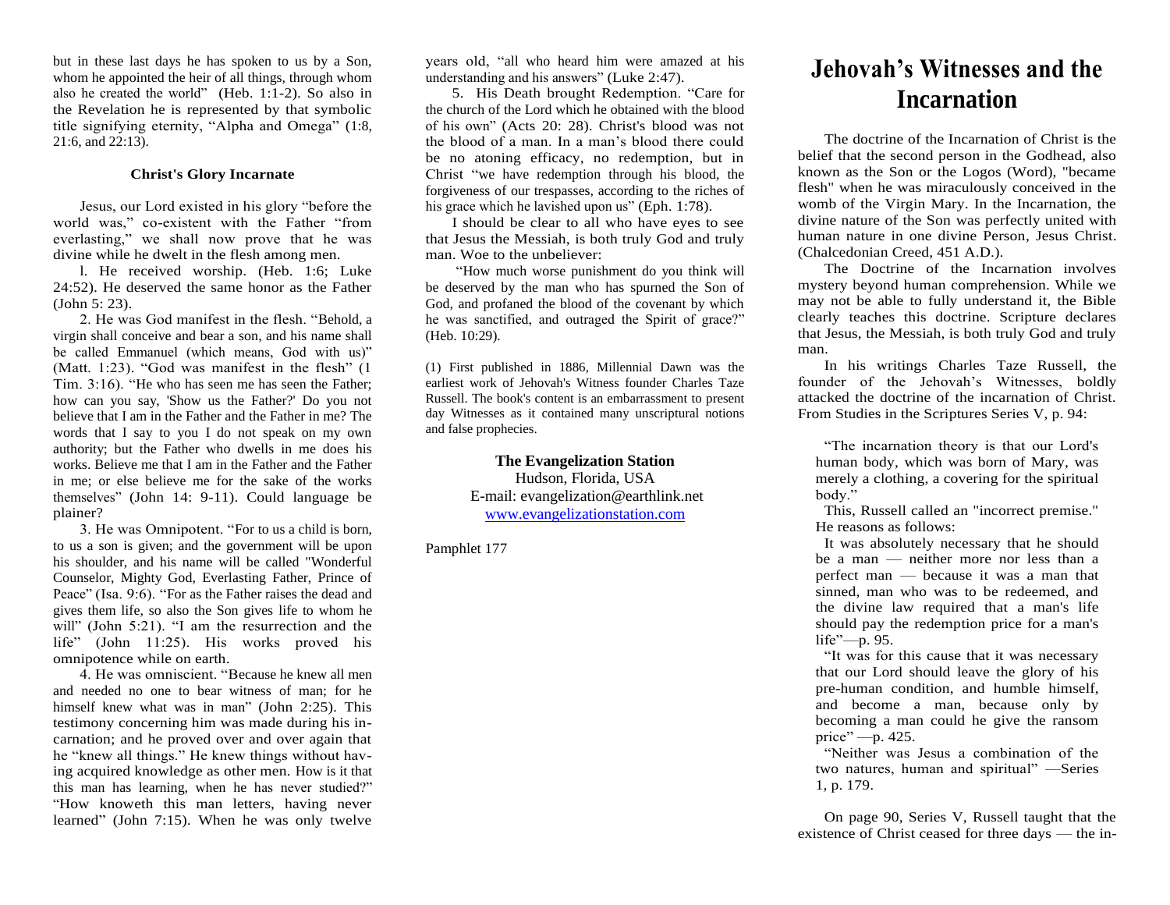but in these last days he has spoken to us by a Son, whom he appointed the heir of all things, through whom also he created the world" (Heb. 1:1-2). So also in the Revelation he is represented by that symbolic title signifying eternity, "Alpha and Omega" (1:8, 21:6, and 22:13).

## **Christ's Glory Incarnate**

Jesus, our Lord existed in his glory "before the world was," co-existent with the Father "from everlasting," we shall now prove that he was divine while he dwelt in the flesh among men.

l. He received worship. (Heb. 1:6; Luke 24:52). He deserved the same honor as the Father (John 5: 23).

2. He was God manifest in the flesh. "Behold, a virgin shall conceive and bear a son, and his name shall be called Emmanuel (which means, God with us)" (Matt. 1:23). "God was manifest in the flesh"  $(1)$ Tim. 3:16). "He who has seen me has seen the Father; how can you say, 'Show us the Father?' Do you not believe that I am in the Father and the Father in me? The words that I say to you I do not speak on my own authority; but the Father who dwells in me does his works. Believe me that I am in the Father and the Father in me; or else believe me for the sake of the works themselves" (John 14: 9-11). Could language be plainer?

3. He was Omnipotent. "For to us a child is born, to us a son is given; and the government will be upon his shoulder, and his name will be called "Wonderful Counselor, Mighty God, Everlasting Father, Prince of Peace" (Isa. 9:6). "For as the Father raises the dead and gives them life, so also the Son gives life to whom he will" (John 5:21). "I am the resurrection and the life" (John 11:25). His works proved his omnipotence while on earth.

4. He was omniscient. "Because he knew all men and needed no one to bear witness of man; for he himself knew what was in man" (John 2:25). This testimony concerning him was made during his incarnation; and he proved over and over again that he "knew all things." He knew things without having acquired knowledge as other men. How is it that this man has learning, when he has never studied?" "How knoweth this man letters, having never learned" (John 7:15). When he was only twelve years old, "all who heard him were amazed at his understanding and his answers" (Luke 2:47).

5. His Death brought Redemption. "Care for the church of the Lord which he obtained with the blood of his own" (Acts 20: 28). Christ's blood was not the blood of a man. In a man's blood there could be no atoning efficacy, no redemption, but in Christ "we have redemption through his blood, the forgiveness of our trespasses, according to the riches of his grace which he lavished upon us" (Eph. 1:78).

I should be clear to all who have eyes to see that Jesus the Messiah, is both truly God and truly man. Woe to the unbeliever:

"How much worse punishment do you think will be deserved by the man who has spurned the Son of God, and profaned the blood of the covenant by which he was sanctified, and outraged the Spirit of grace?" (Heb. 10:29).

(1) First published in 1886, Millennial Dawn was the earliest work of Jehovah's Witness founder Charles Taze Russell. The book's content is an embarrassment to present day Witnesses as it contained many unscriptural notions and false prophecies.

> **The Evangelization Station** Hudson, Florida, USA E-mail: evangelization@earthlink.net [www.evangelizationstation.com](http://www.pjpiisoe.org/)

Pamphlet 177

## **Jehovah's Witnesses and the Incarnation**

The doctrine of the Incarnation of Christ is the belief that the second person in the Godhead, also known as the Son or the Logos (Word), "became flesh" when he was miraculously conceived in the womb of the Virgin Mary. In the Incarnation, the divine nature of the Son was perfectly united with human nature in one divine Person, Jesus Christ. (Chalcedonian Creed, 451 A.D.).

The Doctrine of the Incarnation involves mystery beyond human comprehension. While we may not be able to fully understand it, the Bible clearly teaches this doctrine. Scripture declares that Jesus, the Messiah, is both truly God and truly man.

In his writings Charles Taze Russell, the founder of the Jehovah's Witnesses, boldly attacked the doctrine of the incarnation of Christ. From Studies in the Scriptures Series V, p. 94:

"The incarnation theory is that our Lord's human body, which was born of Mary, was merely a clothing, a covering for the spiritual body."

This, Russell called an "incorrect premise." He reasons as follows:

It was absolutely necessary that he should be a man — neither more nor less than a perfect man — because it was a man that sinned, man who was to be redeemed, and the divine law required that a man's life should pay the redemption price for a man's life"—p. 95.

"It was for this cause that it was necessary that our Lord should leave the glory of his pre-human condition, and humble himself, and become a man, because only by becoming a man could he give the ransom price" —p. 425.

"Neither was Jesus a combination of the two natures, human and spiritual" —Series 1, p. 179.

On page 90, Series V, Russell taught that the existence of Christ ceased for three days — the in-